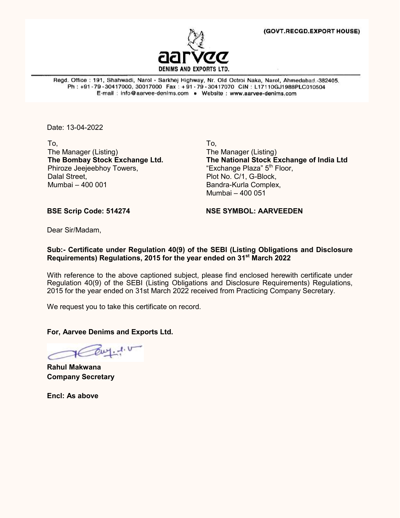

Regd. Office: 191, Shahwadi, Narol - Sarkhej Highway, Nr. Old Octroi Naka, Narol, Ahmedabad.-382405. Ph: +91-79-30417000, 30017000 Fax: +91-79-30417070 CIN: L17110GJ1988PLC010504 E-mail: info@aarvee-denims.com . Website: www.aarvee-denims.com

Date: 13-04-2022

To, The Manager (Listing) **The Bombay Stock Exchange Ltd.** Phiroze Jeejeebhoy Towers, Dalal Street, Mumbai – 400 001

To, The Manager (Listing) **The National Stock Exchange of India Ltd** "Exchange Plaza" 5<sup>th</sup> Floor, Plot No. C/1, G-Block, Bandra-Kurla Complex, Mumbai – 400 051

**BSE Scrip Code: 514274 NSE SYMBOL: AARVEEDEN**

Dear Sir/Madam,

## **Sub:- Certificate under Regulation 40(9) of the SEBI (Listing Obligations and Disclosure Requirements) Regulations, 2015 for the year ended on 31st March 2022**

With reference to the above captioned subject, please find enclosed herewith certificate under Regulation 40(9) of the SEBI (Listing Obligations and Disclosure Requirements) Regulations, 2015 for the year ended on 31st March 2022 received from Practicing Company Secretary.

We request you to take this certificate on record.

**For, Aarvee Denims and Exports Ltd.**

Our. 1. U

**Rahul Makwana Company Secretary** 

**Encl: As above**